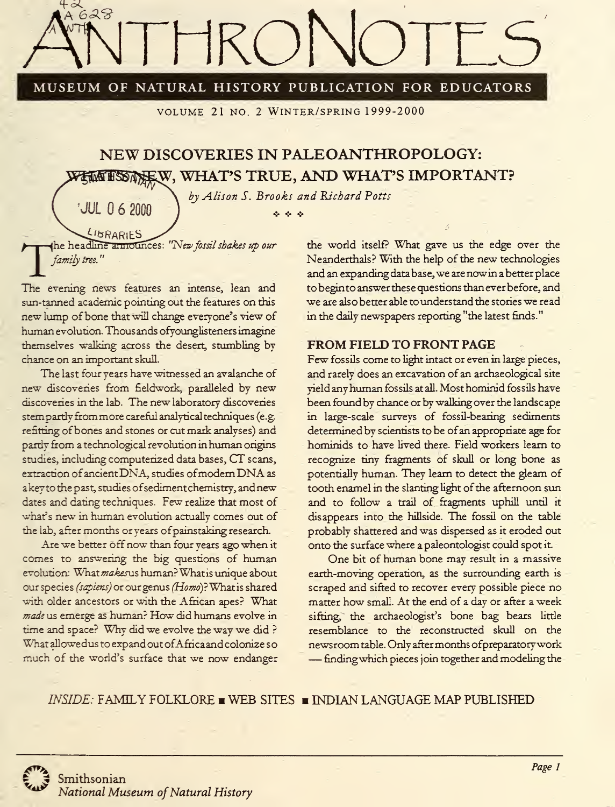

MUSEUM OF NATURAL HISTORY PUBLICATION FOR EDUCATORS

volume 21 no. <sup>2</sup> Winter/spring 1999-2000

# NEW DISCOVERIES IN PALEOANTHROPOLOGY: WHAT'S TRUE, AND WHAT'S IMPORTANT?

by Alison S. Brooks and Richard Potts **Section** 

The headline armounces: "New fossil shakes up our<br>family tree." family tree.

JUL 0 6 2000

The evening news features an intense, lean and sun-tanned academic pointing out the features on this new lump of bone that will change everyone's view of human evolution Thousands ofyounglisteners imagine themselves walking across the desert, stumbling by chance on an important skull.

The last four years have witnessed an avalanche of new discoveries from fieldwork, paralleled by new discovenes in the lab. The new laboratory discoveries stempartly from more careful analytical techniques (e.g. refitting ofbones and stones or cut mark analyses) and partly from a technological revolution in human origins studies, including computerized data bases, CT scans, extraction of ancient DNA, studies of modern DNA as akeyto the past, studies ofsediment chemistry, andnew dates and dating techniques. Few realize that most of what's new in human evolution actually comes out of the lab, after months or years ofpainstaking research.

Are we better off now than four years ago when it comes to answering the big questions of human evolution: What makesus human? What is unique about our species *(sapiens)* or our genus (Homo)? What is shared with older ancestors or with the African apes? What made us emerge as human? How did humans evolve in time and space? Why did we evolve the way we did ? What allowedus to expand out ofAfrica and colonize so much of the world's surface that we now endanger

the world itself? What gave us the edge over the Neanderthals? With the help of the new technologies and an expanding data base, we are now in a better place to beginto answer these questions than ever before, and we are also better able to understand the stories we read in the daily newspapers reporting "the latest finds."

## FROM FIELD TO FRONT PAGE

Few fossils come to light intact or even in large pieces, and rarely does an excavation of an archaeological site yield any human fossils at all. Most hominid fossils have been found by chance or by walking over the landscape in large-scale surveys of fossil-bearing sediments determined by scientists to be of an appropriate age for hominids to have lived there. Field workers learn to recognize tiny fragments of skull or long bone as potentially human. They learn to detect the gleam of tooth enamel in the slanting light of the afternoon sun and to follow a trail of fragments uphill until it disappears into the hillside. The fossil on the table probably shattered and was dispersed as it eroded out onto the surface where a paleontologist could spot it-

One bit of human bone may result in <sup>a</sup> massive earth-moving operation, as the surrounding earth is scraped and sifted to recover every possible piece no matter how small. At the end of <sup>a</sup> day or after <sup>a</sup> week sifting, the archaeologist's bone bag bears little resemblance to the reconstructed skull on the newsroom table. Only after months of preparatory work<br>— finding which pieces join together and modeling the

INSIDE: FAMILY FOLKLORE WEB SITES INDIAN LANGUAGE MAP PUBLISHED

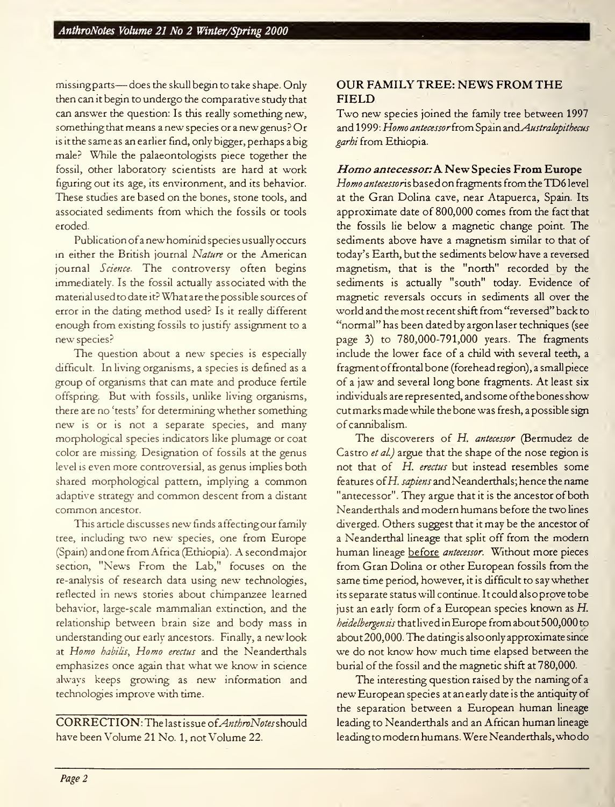missingparts—does the skull begin to take shape. Only then can it begin to undergo the comparative study that can answer the question: Is this really something new, something that means a new species or a new genus? Or is it the same as an earlier find, only bigger, perhaps a big male? While the palaeontologists piece together the fossil, other laboratory scientists are hard at work figuring out its age, its environment, and its behavior. These studies are based on the bones, stone tools, and associated sediments from which the fossils or tools eroded.

Publication of a new hominid species usually occurs in either the British journal Nature or the American journal Science. The controversy often begins immediately. Is the fossil actually associated with the material used to date it? What are the possible sources of error in the dating method used? Is it really different enough from existing fossils to justify assignment to a new species?

The question about a new species is especially difficult. In living organisms, a species is defined as a group of organisms that can mate and produce fertile offspring. But with fossils, unlike living organisms, there are no 'tests' for determining whether something new is or is not <sup>a</sup> separate species, and many morphological species indicators like plumage or coat color are missing. Designation of fossils at the genus level is even more controversial, as genus implies both shared morphological pattern, implying <sup>a</sup> common adaptive strategy and common descent from <sup>a</sup> distant common ancestor.

This article discusses new finds affecting our family tree, including two new species, one from Europe (Spain) and one from Africa (Ethiopia). Asecondmajor section, "News From the Lab," focuses on the re-analysis of research data using new technologies, reflected in news stories about chimpanzee learned behavior, large-scale mammalian extinction, and the relationship between brain size and body mass in understanding our early ancestors. Finally, <sup>a</sup> new look at Homo habilis, Homo erectus and the Neanderthals emphasizes once again that what we know in science always keeps growing as new information and technologies improve with time.

 $CORRECTION: The last issue of *AnthonyNotes* should$ have been Volume 21 No. 1, not Volume 22.

### OUR FAMILY TREE: NEWS FROM THE FIELD

Two new species joined the family tree between 1997 and 1999: Homo antecessor from Spain and Australopithecus garhi from Ethiopia.

#### Homo antecessor: A. New Species From Europe

Homo antecessoris based on fragments from the TD6 level at the Gran Dolina cave, near Atapuerca, Spain. Its approximate date of 800,000 comes from the fact that the fossils lie below a magnetic change point. The sediments above have a magnetism similar to that of today's Earth, but the sediments below have a reversed magnetism, that is the "north" recorded by the sediments is actually "south" today. Evidence of magnetic reversals occurs in sediments all over the world and the most recent shift from "reversed" back to "normal" has been dated by argon laser techniques (see page 3) to 780,000-791,000 years. The fragments include the lower face of a child with several teeth, a fragment offrontal bone (forehead region), a small piece of a jaw and several long bone fragments. At least six individuals are represented, and some ofthe bones show cutmarks madewhile the bone was fresh, apossible sign of cannibalism.

The discoverers of H. antecessor (Bermudez de Castro et al.) argue that the shape of the nose region is not that of H. erectus but instead resembles some features ofH. sapiens and Neanderthals; hence the name "antecessor". They argue that it is the ancestor of both Neanderthals and modern humans before the two lines diverged. Others suggest that it may be the ancestor of <sup>a</sup> Neanderthal lineage that split off from the modern human lineage before antecessor. Without more pieces from Gran Dolina or other European fossils from the same time period, however, it is difficult to say whether its separate status will continue. It could also prove tobe just an early form of <sup>a</sup> European species known as H. heidelbergensis that lived in Europe from about 500,000 to about 200,000. The datingis also only approximate since we do not know how much time elapsed between the burial of the fossil and the magnetic shift at 780,000.

The interesting question raised by the naming of <sup>a</sup> new European species at an early date is the antiquity of the separation between <sup>a</sup> European human lineage leading to Neanderthals and an African human lineage leadingto modern humans. Were Neanderthals, who do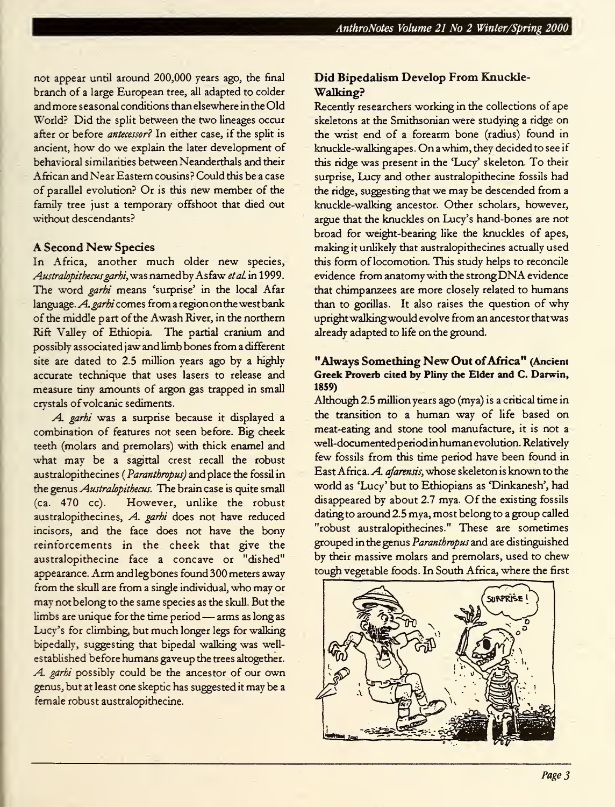not appear until around 200,000 years ago, the final branch of a large European tree, all adapted to colder and more seasonal conditions than elsewhere in the Old World? Did the split between the two lineages occur after or before antecessor? In either case, if the split is ancient, how do we explain the later development of behavioral similarities between Neanderthals and their African and Near Eastern cousins? Could this be a case of parallel evolution? Or is this new member of the family tree just a temporary offshoot that died out without descendants?

#### A Second New Species

In Africa, another much older new species, Australopithecus garhi, was named by Asfaw et al in 1999. The word *garhi* means 'surprise' in the local Afar language. A. garhi comes from a region on the west bank of the middle part of the Awash River, in the northern Rift Valley of Ethiopia. The partial cranium and possibly associated jaw and limb bones from a different site are dated to 2.5 million years ago by a highly accurate technique that uses lasers to release and measure tiny amounts of argon gas trapped in small crystals ofvolcanic sediments.

A. garhi was a surprise because it displayed a combination of features not seen before. Big cheek teeth (molars and premolars) with thick enamel and what may be <sup>a</sup> sagittal crest recall the robust australopithecines ( Paranthropus) and place the fossil in the genus Australopithecus. The brain case is quite small (ca. 470 cc). However, unlike the robust australopithecines, A. garhi does not have reduced incisors, and the face does not have the bony reinforcements in the cheek that give the australopithecine face a concave or "dished" appearance. Arm and leg bones found 300 meters away from the skull are from <sup>a</sup> single individual, who may or may not belong to the same species as the skull. But the limbs are unique for the time period — arms as long as Lucy's for climbing, but much longer legs for walking bipedally, suggesting that bipedal walking was wellestablished before humans gave up the trees altogether. A. garhi possibly could be the ancestor of our own genus, but at least one skeptic has suggested it may be a female robust australopithecine.

## Did Bipedalism Develop From Knuckle-Walking?

Recently researchers working in the collections of ape skeletons at the Smithsonian were studying a ridge on the wrist end of a forearm bone (radius) found in knuckle-walking apes. On <sup>a</sup> whim, they decided to see if this ridge was present in the 'Lucy' skeleton. To their surprise, Lucy and other australopithecine fossils had the ridge, suggesting that we may be descended from a knuckle-walking ancestor. Other scholars, however, argue that the knuckles on Lucy's hand-bones are not broad for weight-bearing like the knuckles of apes, making it unlikely that australopithecines actually used this form of locomotion. This study helps to reconcile evidence from anatomywith the strong DNA evidence that chimpanzees are more closely related to humans than to gorillas. It also raises the question of why uprightwalkingwould evolve from an ancestor thatwas already adapted to life on the ground.

#### "Always Something New Out of Africa" (Ancient Greek Proverb cited by Pliny the Elder and C. Darwin, 1859)

Although 2.5 million years ago (mya) is a critical time in the transition to <sup>a</sup> human way of life based on meat-eating and stone tool manufacture, it is not a well-documentedperiod in humanevolution. Relatively few fossils from this time period have been found in East Africa. A. afarensis, whose skeleton is known to the world as 'Lucy' but to Ethiopians as 'Dinkanesh', had disappeared by about 2.7 mya. Of the existing fossils dating to around 2.5 mya, most belong to a group called "robust australopithecines." These are sometimes grouped in the genus Paranthropus and are distinguished by their massive molars and premolars, used to chew tough vegetable foods. In South Africa, where the first

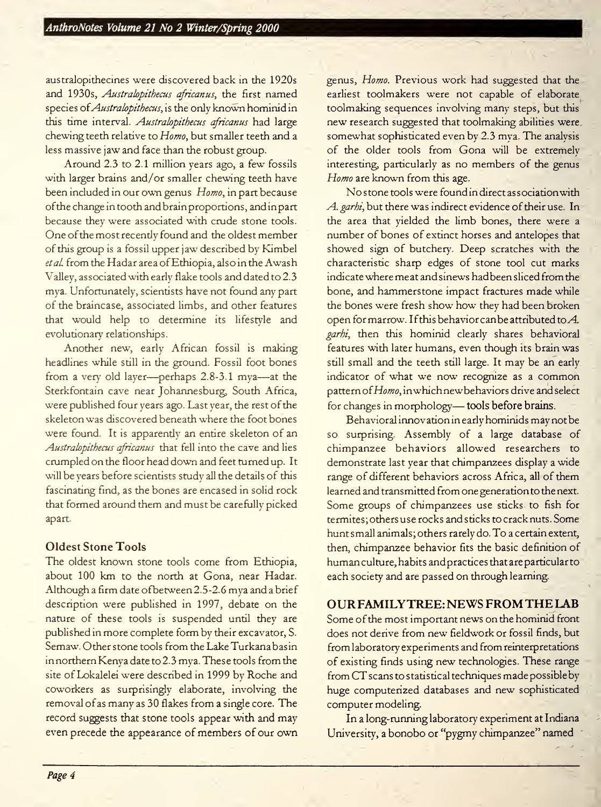australopithecines were discovered back in the 1920s and 1930s, Australopithecus africanus, the first named species of *Australopithecus*, is the only known hominid in this time interval. Australopithecus africanus had large chewing teeth relative to Homo, but smaller teeth and a less massive jaw and face than the robust group.

Around 2.3 to 2.1 million years ago, a few fossils with larger brains and/or smaller chewing teeth have been included in our own genus Homo, in part because ofthe change in tooth and brainproportions, and in part because they were associated with crude stone tools. One of the most recently found and the oldest member of this group is a fossil upper jaw described by Kimbel etal. from the Hadar area ofEthiopia, also in the Awash Valley, associated with early flake tools and dated to 2.3 mya. Unfortunately, scientists have not found any part of the braincase, associated limbs, and other features that would help to determine its lifestyle and evolutionary relationships.

Another new, early African fossil is making headlines while still in the ground. Fossil foot bones from <sup>a</sup> very old layer—perhaps 2.8-3.1 mya—at the Sterkfontain cave near Johannesburg, South Africa, were published four years ago. Last year, the rest of the skeleton was discovered beneath where the foot bones were found. It is apparently an entire skeleton of an Australopithecus africanus that fell into the cave and lies crumpled on the floor head down and feet turned up. It will be years before scientists study all the details of this fascinating find, as the bones are encased in solid rock that formed around them and must be carefully picked apart.

## Oldest Stone Tools

The oldest known stone tools come from Ethiopia, about 100 km to the north at Gona, near Hadar. Although <sup>a</sup> firm date ofbetween2.5-2.6 mya and <sup>a</sup>brief description were published in 1997, debate on the nature of these tools is suspended until they are published in more complete form by their excavator, S. Semaw. Other stone tools from the Lake Turkana basin in northern Kenya date to 2.3 mya. These tools from the site of Lokalelei were described in 1999 by Roche and coworkers as surprisingly elaborate, involving the removal of as many as 30 flakes from a single core. The record suggests that stone tools appear with and may even precede the appearance of members of our own genus, Homo. Previous work had suggested that the earliest toolmakers were not capable of elaborate toolmaking sequences involving many steps, but this new research suggested that toolmaking abilities were somewhat sophisticated even by 2.3 mva. The analysis of the older tools from Gona will be extremely interesting, particularly as no members of the genus Homo are known from this age.

No stone tools were found in direct association with A. garhi, but there was indirect evidence of their use. In the area that yielded the limb bones, there were a number of bones of extinct horses and antelopes that showed sign of butchery. Deep scratches with the characteristic sharp edges of stone tool cut marks indicate where meat and sinews had been sliced from the bone, and hammerstone impact fractures made while the bones were fresh show how they had been broken open for marrow. If this behavior can be attributed to  $A$ . garhi, then this hominid clearly shares behavioral features with later humans, even though its brain was still small and the teeth still large. It may be an early indicator of what we now recognize as <sup>a</sup> common pattern of Homo, in which new behaviors drive and select for changes in morphology—tools before brains.

Behavioral innovation in early hominids may not be so surprising. Assembly of a large database of chimpanzee behaviors allowed researchers to demonstrate last year that chimpanzees display a wide range of different behaviors across Africa, all of them learned and transmitted from one generation to the next. Some groups of chimpanzees use sticks to fish for termites, others use rocks and sticks to crack nuts. Some hunt small animals; others rarely do. To <sup>a</sup> certain extent, then, chimpanzee behavior fits the basic definition of human culture, habits andpractices that are particular to each society and are passed on through learning.

## OURFAMILYTREE: NEWS FROMTHE LAB

Some of the most important news on the hominid front does not derive from new fieldwork or fossil finds, but from laboratory experiments and from reinterpretations of existing finds using new technologies. These range from CT scans to statistical techniques made possible by huge computerized databases and new sophisticated computer modeling.

In a long-running laboratory experiment at Indiana University, <sup>a</sup> bonobo or "pygmy chimpanzee" named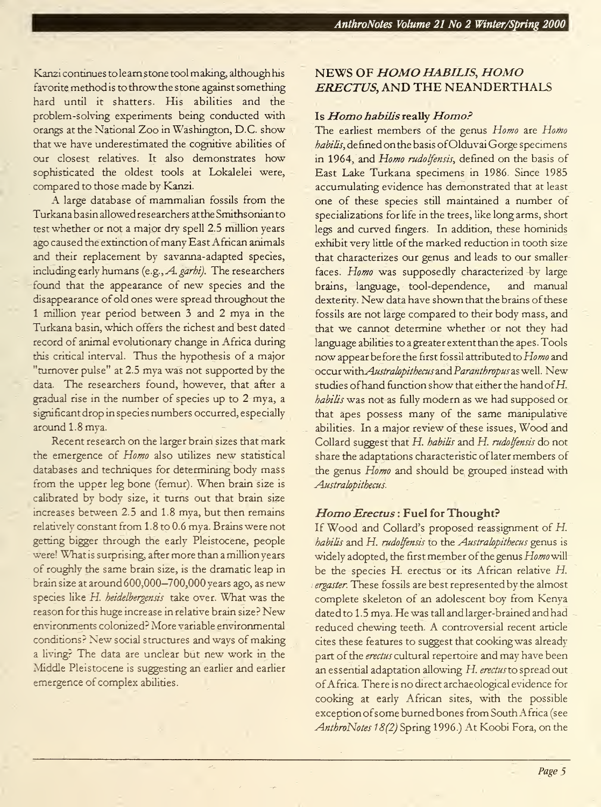Kanzi continues to learn stone tool making, although his favorite method is to throw the stone against something hard until it shatters. His abilities and the problem-solving experiments being conducted with orangs at the National Zoo in Washington, D.C. show that we have underestimated the cognitive abilities of our closest relatives. It also demonstrates how sophisticated the oldest tools at Lokalelei were, compared to those made by Kanzi.

A large database of mammalian fossils from the Turkanabasin allowed researchers atthe Smithsonian to test whether or not a major dry spell 2.5 million years ago caused the extinction of many East African animals and their replacement by savanna-adapted species, including early humans (e.g., A. garhi). The researchers found that the appearance of new species and the disappearance of old ones were spread throughout the <sup>1</sup> million year period between 3 and 2 mya in the Turkana basin, which offers the richest and best dated record of animal evolutionary change in Africa during this critical interval. Thus the hypothesis of a major "turnover pulse" at 2.5 mya was not supported by the data. The researchers found, however, that after a gradual rise in the number of species up to 2 mya, a significant drop in species numbers occurred, especially around 1.8 mya.

Recent research on the larger brain sizes that mark the emergence of Homo also utilizes new statistical databases and techniques for determining body mass from the upper leg bone (femur). When brain size is calibrated by body size, it turns out that brain size increases between 2.5 and 1.8 mya, but then remains relatively constant from 1.8 to 0.6 mya. Brains were not getting bigger through the early Pleistocene, people were! What is surprising, after more than a million years of roughly the same brain size, is the dramatic leap in brain size at around 600,000—700,000 years ago, as new species like H. heidelbergensis take over. What was the reason for this huge increase in relative brain size? New environments colonized? More variable environmental conditions? New social structures and ways of making a living? The data are unclear but new work in the Middle Pleistocene is suggesting an earlier and earlier emergence of complex abilities.

# NEWS OF HOMO HABILIS, HOMO ERECTUS, AND THE NEANDERTHALS

#### Is Homo habilis really Homo?

The earliest members of the genus Homo are Homo habilis, defined on the basis of Olduvai Gorge specimens in 1964, and Homo rudolfensis, defined on the basis of East Lake Turkana specimens in 1986. Since 1985 accumulating evidence has demonstrated that at least one of these species still maintained <sup>a</sup> number of specializations for life in the trees, like long arms, short legs and curved fingers. In addition, these hominids exhibit very litde of the marked reduction in tooth size that characterizes our genus and leads to our smaller faces. Homo was supposedly characterized by large brains, language, tool-dependence, and manual dexterity. New data have shown that the brains of these fossils are not large compared to their body mass, and that we cannot determine whether or not they had language abilities to a greater extent than the apes. Tools now appear before the first fossil attributed to Homo and occur with Australopithecus and Paranthropus as well. New studies of hand function show that either the hand of  $H$ . habilis was not as fully modern as we had supposed or that apes possess many of the same manipulative abilities. In <sup>a</sup> major review of these issues, Wood and Collard suggest that H. habilis and H. rudolfensis do not share the adaptations characteristic oflater members of the genus Homo and should be grouped instead with Australopithecus.

#### Homo Erectus : Fuel for Thought?

If Wood and Collard's proposed reassignment of H. habilis and H. rudolfensis to the Australopithecus genus is widely adopted, the first member of the genus Homo will be the species H. erectus or its African relative  $H$ . ergaster. These fossils are best represented by the almost complete skeleton of an adolescent boy from Kenya dated to 1.5 mya. He was tall and larger-brained and had reduced chewing teeth. A controversial recent article cites these features to suggest that cookingwas already part of the erectus cultural repertoire and may have been an essential adaptation allowing H. erectus to spread out ofAfrica. There isno direct archaeological evidence for cooking at early African sites, with the possible exception ofsome burned bones from South Africa (see AnthroNotes 18(2) Spring 1996.) At Koobi Fora, on the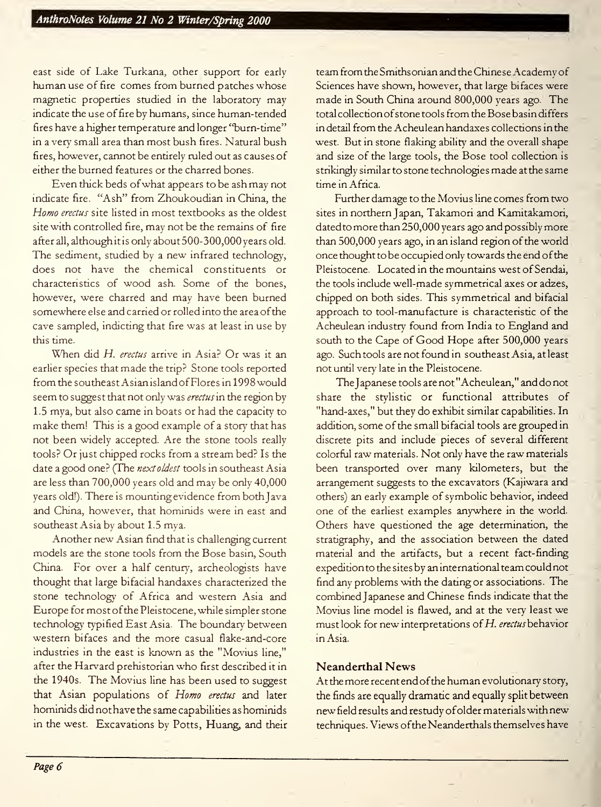east side of Lake Turkana, other support for early human use of fire comes from burned patches whose magnetic properties studied in the laboratory may indicate the use of fire by humans, since human-tended fires have a higher temperature and longer "burn-time" in a very small area than most bush fires. Natural bush fires, however, cannot be entirely ruled out as causes of either the burned features or the charred bones.

Even thick beds ofwhat appears to be ash may not indicate fire. "Ash" from Zhoukoudian in China, the Homo erectus site listed in most textbooks as the oldest site with controlled fire, may not be the remains of fire after all, although itis only about 500-300,000 years old. The sediment, studied by <sup>a</sup> new infrared technology, does not have the chemical constituents or characteristics of wood ash. Some of the bones, however, were charred and may have been burned somewhere else and carried or rolled into the area of the cave sampled, indicting that fire was at least in use by this time.

When did H. erectus arrive in Asia? Or was it an earlier species that made the trip? Stone tools reported from the southeast Asian island of Flores in 1998 would seem to suggest that not only was *erectus* in the region by 1.5 mya, but also came in boats or had the capacity to make them! This is <sup>a</sup> good example of <sup>a</sup> story that has not been widely accepted. Are the stone tools really tools? Or just chipped rocks from <sup>a</sup> stream bed? Is the date a good one? (The next oldest tools in southeast Asia are less than 700,000 years old and may be only 40,000 years old!). There is mounting evidence from both Java and China, however, that hominids were in east and southeast Asia by about 1.5 mya.

Another new Asian find that is challenging current models are the stone tools from the Bose basin, South China. For over a half century, archeologists have thought that large bifacial handaxes characterized the stone technology of Africa and western Asia and Europe for most of the Pleistocene, while simpler stone technology typified East Asia. The boundary between western bifaces and the more casual flake-and-core industries in the east is known as the "Movius line," after the Harvard prehistorian who first described it in the 1940s. The Movius line has been used to suggest that Asian populations of Homo erectus and later hominids did not have the same capabilities as hominids in the west. Excavations by Potts, Huang, and their

team from the Smithsonian and the Chinese Academy of Sciences have shown, however, that large bifaces were made in South China around 800,000 years ago. The total collection of stone tools from the Bose basin differs in detail from the Acheulean handaxes collections in the west. But in stone flaking ability and the overall shape and size of the large tools, the Bose tool collection is stnkingly similar to stone technologies made at the same time in Africa.

Further damage to the Movius line comes from two sites in northern Japan, Takamori and Kamitakamori, dated to more than 250,000 years ago and possibly more than 500,000 years ago, in an island region of the world once thought to be occupied only towards the end ofthe Pleistocene. Located in the mountains west of Sendai, the tools include well-made symmetrical axes or adzes, chipped on both sides. This symmetrical and bifacial approach to tool-manufacture is charactenstic of the Acheulean industry found from India to England and south to the Cape of Good Hope after 500,000 years ago. Such tools are not found in southeast Asia, at least not until very late in the Pleistocene.

The Japanese tools are not "Acheulean," and do not share the stylistic or functional attributes of "hand-axes," but they do exhibit similar capabilities. In addition, some of the small bifacial tools are grouped in discrete pits and include pieces of several different colorful raw materials. Not only have the raw materials been transported over many kilometers, but the arrangement suggests to the excavators (Kajiwara and others) an early example of symbolic behavior, indeed one of the earliest examples anywhere in the world. Others have questioned the age determination, the stratigraphy, and the association between the dated material and the artifacts, but a recent fact-finding expedition to the sites by an international team could not find any problems with the dating or associations. The combined Japanese and Chinese finds indicate that the Movius line model is flawed, and at the very least we must look for new interpretations of  $H$ . erectus behavior in Asia.

## Neanderthal News

At the more recent end ofthe human evolutionary story, the finds are equally dramatic and equally split between new field results and restudy ofolder materials with new techniques. Views ofthe Neanderthals themselves have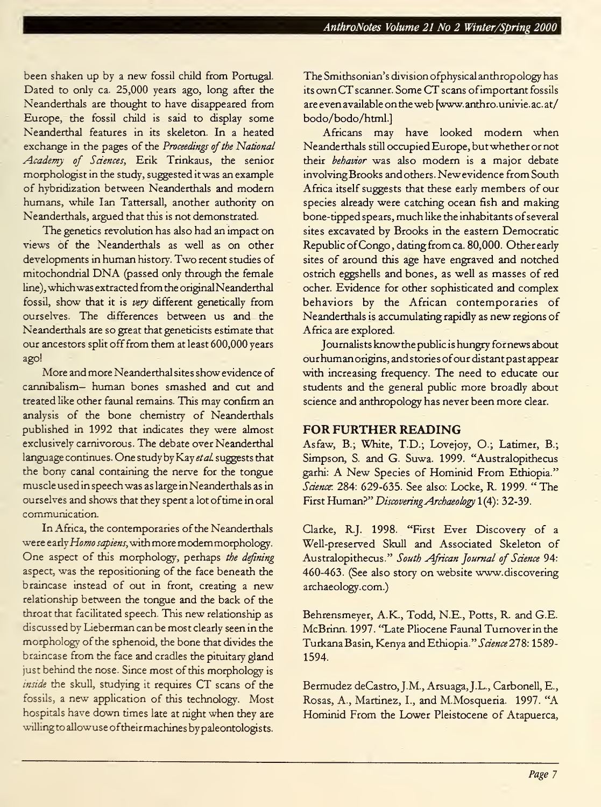been shaken up by <sup>a</sup> new fossil child from Portugal. Dated to only ca. 25,000 years ago, long after the Neanderthals are thought to have disappeared from Europe, the fossil child is said to display some Neanderthal features in its skeleton. In a heated exchange in the pages of the Proceedings of the National Academy of Sciences, Erik Trinkaus, the senior morphologist in the study, suggested it was an example of hybridization between Neanderthals and modern humans, while Ian Tattersall, another authority on Neanderthals, argued that this is not demonstrated.

The genetics revolution has also had an impact on views of the Neanderthals as well as on other developments in human history. Two recent studies of mitochondrial DNA (passed only through the female line), whichwas extracted from the original Neanderthal fossil, show that it is very different genetically from ourselves. The differences between us and the Neanderthals are so great that geneticists estimate that our ancestors split off from them at least 600,000 years ago!

More and more Neanderthal sites show evidence of cannibalism— human bones smashed and cut and treated like other faunal remains. This may confirm an analysis of the bone chemistry of Neanderthals published in 1992 that indicates they were almost exclusively carnivorous. The debate over Neanderthal language continues. One study by Kay et al suggests that the bony canal containing the nerve for the tongue muscle used in speech was as large in Neanderthals as in ourselves and shows that they spent a lot oftime in oral communication.

In Africa, the contemporaries of the Neanderthals were early Homo sapiens, with more modern morphology. One aspect of this morphology, perhaps the defining aspect, was the repositioning of the face beneath the braincase instead of out in front, creating <sup>a</sup> new relationship between the tongue and the back of the throat that facilitated speech. This new relationship as discussed by Lieberman can be most clearly seen in the morphology of the sphenoid, the bone that divides the braincase from the face and cradles the pituitary gland just behind the nose. Since most of this morphology is inside the skull, studying it requires CT scans of the fossils, <sup>a</sup> new application of this technology. Most hospitals have down times late at night when they are willingto allowuse oftheir machines by paleontologists.

The Smithsonian's division ofphysical anthropology has its own CT scanner. Some CT scans ofimportant fossils are even available on the web [www.anthro.univie.ac.at/ bodo/bodo/html.]

Africans may have looked modern when Neanderthals still occupied Europe, but whether or not their behavior was also modern is a major debate involvingBrooks and others. Newevidence from South Africa itself suggests that these early members of our species already were catching ocean fish and making bone-tipped spears, much like the inhabitants of several sites excavated by Brooks in the eastern Democratic Republic of Congo, dating from ca. 80,000. Other early sites of around this age have engraved and notched ostrich eggshells and bones, as well as masses of red ocher. Evidence for other sophisticated and complex behaviors by the African contemporaries of Neanderthals is accumulating rapidly as new regions of Africa are explored.

Journalists know the public is hungry for news about ourhumanorigins, and stories ofour distant past appear with increasing frequency. The need to educate our students and the general public more broadly about science and anthropology has never been more clear.

## FOR FURTHER READING

Asfaw, B.; White, T.D.; Lovejoy, O.; Latimer, B.; Simpson, S. and G. Suwa. 1999. "Australopithecus garhi: A New Species of Hominid From Ethiopia." Science: 284: 629-635. See also: Locke, R. 1999. "The First Human?" Discovering Archaeology 1(4): 32-39.

Clarke, R.J. 1998. "First Ever Discovery of <sup>a</sup> Well-preserved Skull and Associated Skeleton of Australopithecus." South African Journal of Science 94: 460-463. (See also story on website www.discovering archaeology.com.)

Behrensmeyer, A.K., Todd, N.E., Potts, R. and G.E. McBrinn. 1997. "Late Pliocene Faunal Turnover in the Turkana Basin, Kenya and Ethiopia." Science 278: 1589-1594.

Bermudez deCastro, J.M., Arsuaga, J.L., Carbonell, E., Rosas, A., Martinez, I., and M.Mosqueria. 1997. "A Hominid From the Lower Pleistocene of Atapuerca,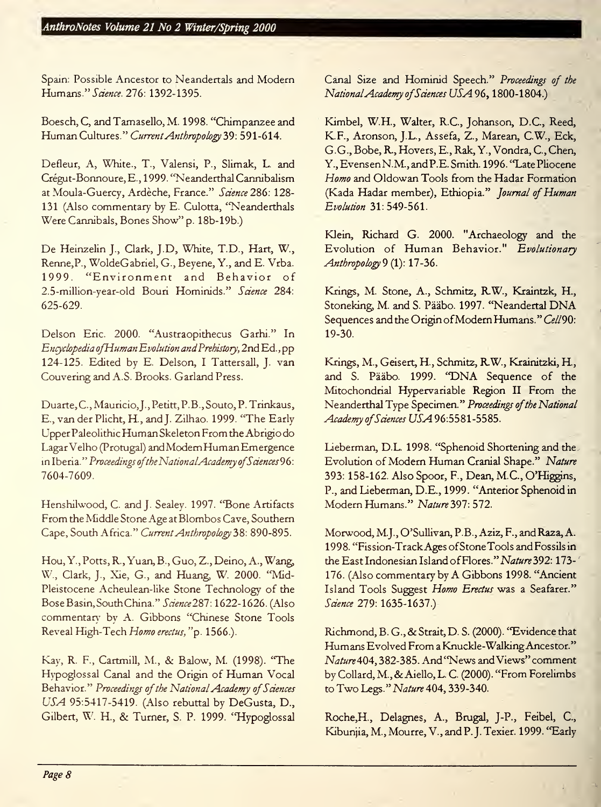Spain: Possible Ancestor to Neandertals and Modern Humans." Science. 276: 1392-1395.

Boesch, C, and Tamasello, M. 1998. "Chimpanzee and Human Cultures." Current Anthropology 39: 591-614.

Defleur, A, White., T., Valensi, P., Slimak, L. and Crégut-Bonnoure, E., 1999. "Neanderthal Cannibalism at Moula-Guercy, Ardèche, France." Science 286: 128-131 (Also commentary by E. Culotta, "Neanderthals Were Cannibals, Bones Show" p. 18b-19b.)

De Heinzelin J., Clark, J.D, White, T.D., Hart, W., Renne, P., WoldeGabriel, G., Beyene, Y., and E. Vrba. 1999. "Environment and Behavior of 2.5-million-year-old Bouri Hominids." Science 284: 625-629.

Delson Eric. 2000. "Austraopithecus Garhi." In Encyclopedia ofHumanEvolution andPrehistory, 2nd Ed., pp 124-125. Edited by E. Delson, <sup>I</sup> Tattersall, J. van Couvering and A.S. Brooks. Garland Press.

Duarte, C., Mauricio, J., Petitt, P.B., Souto, P. Trinkaus, E., van der Plicht, R, and J. Zilhao. 1999. "The Early Upper Paleolithic HumanSkeleton From the Abrigio do Lagar Velho (Protugal) and ModemHumanEmergence in Iberia." Proceedings of the National Academy of Sciences 96: 7604-7609.

Henshilwood, C. and J. Sealey. 1997. "Bone Artifacts From the Middle Stone Age at Blombos Cave, Southern Cape, South Africa." Current Anthropology 38: 890-895.

Hou, Y., Potts, R., Yuan, B., Guo, Z., Deino, A., Wang, W., Clark, J., Xie, G., and Huang, W. 2000. "Mid-Pleistocene Acheulean-like Stone Technology of the Bose Basin, South China." Science 287: 1622-1626. (Also commentary by A. Gibbons "Chinese Stone Tools Reveal High-Tech Homo erectus, "p. 1566.).

Kay, R. F., Cartmill, M., & Balow, M. (1998). "The Hypoglossal Canal and the Origin of Human Vocal Behavior." Proceedings of the National Academy of Sciences USA 95:5417-5419. (Also rebuttal by DeGusta, D., Gilbert, W. H., & Turner, S. P. 1999. "Hypoglossal

Canal Size and Hominid Speech." Proceedings of the National Academy of Sciences USA 96, 1800-1804.)

Kimbel, W.H., Walter, R.C., Johanson, D.C., Reed, K.F., Aronson, J.L., Assefa, Z., Marean, C.W., Eck, G.G., Bobe, R, Hovers, E., Rak, Y., Vondra, C, Chen, Y.,EvensenN.M.,andP.E. Smith. 1996. "Late Pliocene Homo and Oldowan Tools from the Hadar Formation (Kada Hadar member), Ethiopia." Journal of Human Evolution 31: 549-561.

Klein, Richard G. 2000. "Archaeology and the Evolution of Human Behavior." Evolutionary Anthropology 9 (1): 17-36.

Krings, M. Stone, A., Schmitz, RW., Kraintzk, H., Stoneking, M. and S. Pääbo. 1997. "Neandertal DNA Sequences and the Origin of Modern Humans." Cell90: 19-30.

Krings, M., Geisert, H, Schmitz, RW., Krainitzki, H., and S. Pääbo. 1999. "DNA Sequence of the Mitochondrial Hypervariable Region II From the Neanderthal Type Specimen." Proceedings of the National Academy of Sciences USA 96:5581-5585.

Lieberman, D.L. 1998. "Sphenoid Shortening and the Evolution of Modern Human Cranial Shape." Nature 393: 158-162. Also Spoor, F., Dean, M.C., O'Higgins, P., and Lieberman, D.E., 1999. "Anterior Sphenoid in Modern Humans." Nature 397: 572.

Morwood, M.J., O'Sullivan, P.B., Aziz, F., and Raza, A. 1998. "Fission-TrackAges ofStone Tools and Fossils in the East Indonesian Island of Flores." Nature 392: 173-176. (Also commentary by A Gibbons 1998. "Ancient Island Tools Suggest Homo Erectus was a Seafarer." Science 279: 1635-1637.)

Richmond, B. G., & Strait, D. S. (2000). "Evidence that Humans Evolved From <sup>a</sup> Knuckle-WalkingAncestor." Nature404, 382-385. And "News andViews" comment by Collard, M., & Aiello, L. C. (2000). "From Forelimbs to Two Legs." Nature 404, 339-340.

Roche,H., Delagnes, A., Brugal, J-P., Feibel, C, Kibunjia, M., Mourre, V., and P.J. Texier. 1999. "Early